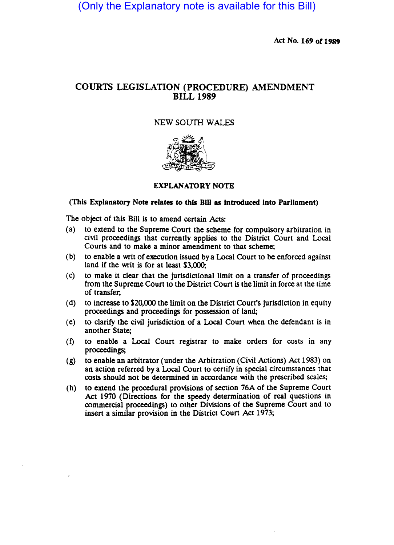(Only the Explanatory note is available for this Bill)

Act No. 169 of 1989

## COURTS LEGISLATION (PROCEDURE) AMENDMENT BILL 1989

## NEW *soum* WALES



## EXPLANATORY NOTE

## (This Explanatory Note relates to this Bill as Introduced Into Parliament)

The object of this Bill is to amend certain Acts:

- (a) to extend to the Supreme Court the scheme for compulsory arbitration in civil proceedings that currently applies to the District Court and Local Courts and to make a minor amendment to that scheme;
- (b) to enable a writ of execution issued by a Local Court to be enforced against land if the writ is for at least \$3,000;
- (c) to make it clear that the jurisdictional limit on a transfer of proceedings from the Supreme Court to the District Court is the limit in force at the time of transfer;
- (d) to increase to \$20,000 the limit on the District Court's jurisdiction in equity proceedings and proceedings for possession of land;
- (e) to clarify the civil jurisdiction of a Local Court when the defendant is in another State;
- (t) to enable a Local Court registrar to make orders for costs in any proceedings;
- (g) to enable an arbitrator (under the Arbitration (Civil Actions) Act 1983) on an action referred by a Local Court to certify in special circumstances that costs should not be determined in accordance with the prescribed scales;
- (h) to extend the procedural provisions of section 76A of the Supreme Court Act 1970 (Directions for the speedy determination of real questions in commercial proceedings) to other Divisions of the Supreme Court and to insert a similar provision in the District Court Act 1973;